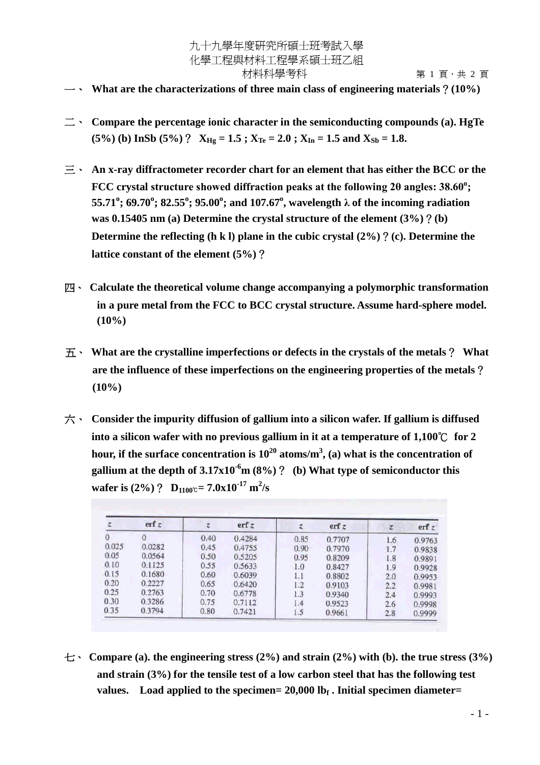## 九十九學年度研究所碩士班考試入學 化學工程與材料工程學系碩士班乙組 材料科學考科 有一個 第 1 頁 · 共 2 頁

- 一、 **What are the characterizations of three main class of engineering materials**?**(10%)**
- 二、 **Compare the percentage ionic character in the semiconducting compounds (a). HgTe**  $(5\%)$  (b) InSb  $(5\%)$  ?  $X_{Hg} = 1.5$ ;  $X_{Te} = 2.0$ ;  $X_{In} = 1.5$  and  $X_{Sb} = 1.8$ .
- 三、 **An x-ray diffractometer recorder chart for an element that has either the BCC or the FCC crystal structure showed diffraction peaks at the following 2θ angles: 38.60<sup>°</sup>; 55.71<sup>o</sup> ; 69.70<sup>o</sup> ; 82.55<sup>o</sup> ; 95.00<sup>o</sup> ; and 107.67<sup>o</sup> , wavelength λof the incoming radiation was 0.15405 nm (a) Determine the crystal structure of the element (3%)**?**(b) Determine the reflecting (h k l) plane in the cubic crystal (2%)**?**(c). Determine the lattice constant of the element (5%)**?
- 四、 **Calculate the theoretical volume change accompanying a polymorphic transformation in a pure metal from the FCC to BCC crystal structure. Assume hard-sphere model. (10%)**
- 五、 **What are the crystalline imperfections or defects in the crystals of the metals**? **What are the influence of these imperfections on the engineering properties of the metals**? **(10%)**
- 六、 **Consider the impurity diffusion of gallium into a silicon wafer. If gallium is diffused into a silicon wafer with no previous gallium in it at a temperature of 1,100**℃ **for 2 hour, if the surface concentration is 10<sup>20</sup> atoms/m<sup>3</sup> , (a) what is the concentration of gallium at the depth of**  $3.17 \times 10^{-6}$  **m (8%)**? (b) What type of semiconductor this **wafer is** (2%) ? **D**<sub>1100</sub>c=  $7.0x10^{-17}$  m<sup>2</sup>/s

|       | erf z  |      | erf z  | z,   | erf z  | z.  | erfz   |
|-------|--------|------|--------|------|--------|-----|--------|
| 0     |        | 0.40 | 0.4284 | 0.85 | 0.7707 | 1.6 | 0.9763 |
| 0.025 | 0.0282 | 0.45 | 0.4755 | 0.90 | 0.7970 | 1.7 | 0.9838 |
| 0.05  | 0.0564 | 0.50 | 0.5205 | 0.95 | 0.8209 | 1.8 | 0.9891 |
| 0.10  | 0.1125 | 0.55 | 0.5633 | 1.0  | 0.8427 | 1.9 | 0.9928 |
| 0.15  | 0.1680 | 0.60 | 0.6039 | 1.1  | 0.8802 | 2.0 | 0.9953 |
| 0.20  | 0.2227 | 0.65 | 0.6420 | 1.2  | 0.9103 | 2.2 | 0.9981 |
| 0.25  | 0.2763 | 0.70 | 0.6778 | 1.3  | 0.9340 | 2.4 | 0.9993 |
| 0.30  | 0.3286 | 0.75 | 0.7112 | 1.4  | 0.9523 | 2.6 | 0.9998 |
| 0.35  | 0.3794 | 0.80 | 0.7421 | 1.5  | 0.9661 | 2.8 | 0.9999 |

七、 **Compare (a). the engineering stress (2%) and strain (2%) with (b). the true stress (3%) and strain (3%) for the tensile test of a low carbon steel that has the following test values. Load applied to the specimen= 20,000 lb<sup>f</sup> . Initial specimen diameter=**